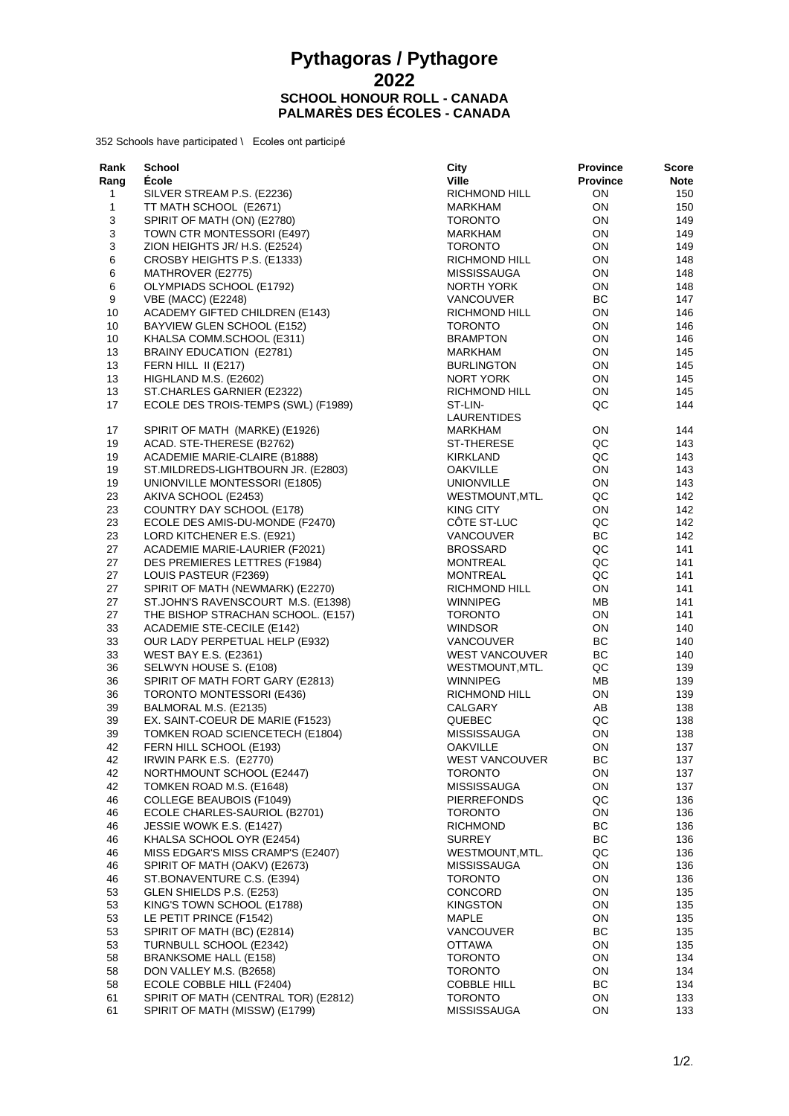## **Pythagoras / Pythagore SCHOOL HONOUR ROLL - CANADA PALMARÈS DES ÉCOLES - CANADA**

352 Schools have participated \ Ecoles ont participé

| Rank         | School                                | City                  | <b>Province</b> | Score |
|--------------|---------------------------------------|-----------------------|-----------------|-------|
| Rang         | Ecole                                 | <b>Ville</b>          | <b>Province</b> | Note  |
| 1            | SILVER STREAM P.S. (E2236)            | RICHMOND HILL         | ΟN              | 150   |
| $\mathbf{1}$ | TT MATH SCHOOL (E2671)                | MARKHAM               | ON              | 150   |
| 3            | SPIRIT OF MATH (ON) (E2780)           | <b>TORONTO</b>        | ON              | 149   |
| 3            | TOWN CTR MONTESSORI (E497)            | MARKHAM               | ON              | 149   |
| 3            | ZION HEIGHTS JR/ H.S. (E2524)         | <b>TORONTO</b>        | ON              | 149   |
| 6            | CROSBY HEIGHTS P.S. (E1333)           | RICHMOND HILL         | ON              | 148   |
| 6            | MATHROVER (E2775)                     | <b>MISSISSAUGA</b>    | ON              | 148   |
| $\,6$        | OLYMPIADS SCHOOL (E1792)              |                       | ON              | 148   |
|              |                                       | NORTH YORK            |                 |       |
| 9            | VBE (MACC) (E2248)                    | <b>VANCOUVER</b>      | ВC              | 147   |
| 10           | <b>ACADEMY GIFTED CHILDREN (E143)</b> | RICHMOND HILL         | ON              | 146   |
| 10           | BAYVIEW GLEN SCHOOL (E152)            | <b>TORONTO</b>        | ON              | 146   |
| 10           | KHALSA COMM.SCHOOL (E311)             | <b>BRAMPTON</b>       | ON              | 146   |
| 13           | BRAINY EDUCATION (E2781)              | MARKHAM               | ON              | 145   |
| 13           | FERN HILL II (E217)                   | <b>BURLINGTON</b>     | ON              | 145   |
| 13           | HIGHLAND M.S. (E2602)                 | NORT YORK             | ON              | 145   |
| 13           | ST.CHARLES GARNIER (E2322)            | RICHMOND HILL         | ON              | 145   |
| 17           | ECOLE DES TROIS-TEMPS (SWL) (F1989)   | ST-LIN-               | QC              | 144   |
|              |                                       | LAURENTIDES           |                 |       |
| 17           | SPIRIT OF MATH (MARKE) (E1926)        | MARKHAM               | ON              | 144   |
| 19           | ACAD. STE-THERESE (B2762)             | ST-THERESE            | QC              | 143   |
| 19           | ACADEMIE MARIE-CLAIRE (B1888)         | KIRKLAND              | QC              | 143   |
| 19           | ST.MILDREDS-LIGHTBOURN JR. (E2803)    | <b>OAKVILLE</b>       | ON              | 143   |
| 19           | UNIONVILLE MONTESSORI (E1805)         | <b>UNIONVILLE</b>     | ON              | 143   |
| 23           | AKIVA SCHOOL (E2453)                  | WESTMOUNT, MTL.       | QC              | 142   |
| 23           | COUNTRY DAY SCHOOL (E178)             | <b>KING CITY</b>      | ON              | 142   |
| 23           | ECOLE DES AMIS-DU-MONDE (F2470)       | COTE ST-LUC           | QC              | 142   |
| 23           | LORD KITCHENER E.S. (E921)            | VANCOUVER             | BC              | 142   |
| 27           | ACADEMIE MARIE-LAURIER (F2021)        | <b>BROSSARD</b>       | QC              | 141   |
|              |                                       |                       |                 |       |
| 27           | DES PREMIERES LETTRES (F1984)         | <b>MONTREAL</b>       | QC<br>QC        | 141   |
| 27           | LOUIS PASTEUR (F2369)                 | <b>MONTREAL</b>       |                 | 141   |
| 27           | SPIRIT OF MATH (NEWMARK) (E2270)      | RICHMOND HILL         | ON              | 141   |
| 27           | ST.JOHN'S RAVENSCOURT M.S. (E1398)    | <b>WINNIPEG</b>       | MВ              | 141   |
| 27           | THE BISHOP STRACHAN SCHOOL. (E157)    | <b>TORONTO</b>        | ON              | 141   |
| 33           | ACADEMIE STE-CECILE (E142)            | <b>WINDSOR</b>        | ON              | 140   |
| 33           | OUR LADY PERPETUAL HELP (E932)        | <b>VANCOUVER</b>      | ВC              | 140   |
| 33           | <b>WEST BAY E.S. (E2361)</b>          | <b>WEST VANCOUVER</b> | BC              | 140   |
| 36           | SELWYN HOUSE S. (E108)                | WESTMOUNT, MTL.       | QC              | 139   |
| 36           | SPIRIT OF MATH FORT GARY (E2813)      | <b>WINNIPEG</b>       | MВ              | 139   |
| 36           | TORONTO MONTESSORI (E436)             | RICHMOND HILL         | ON              | 139   |
| 39           | BALMORAL M.S. (E2135)                 | CALGARY               | AB              | 138   |
| 39           | EX. SAINT-COEUR DE MARIE (F1523)      | QUEBEC                | QC              | 138   |
| 39           | TOMKEN ROAD SCIENCETECH (E1804)       | <b>MISSISSAUGA</b>    | ON              | 138   |
| 42           | FERN HILL SCHOOL (E193)               | <b>OAKVILLE</b>       | ON              | 137   |
| 42           | IRWIN PARK E.S. (E2770)               | <b>WEST VANCOUVER</b> | BC              | 137   |
| 42           | NORTHMOUNT SCHOOL (E2447)             | <b>TORONTO</b>        | ON              | 137   |
| 42           | TOMKEN ROAD M.S. (E1648)              | MISSISSAUGA           | ON              | 137   |
| 46           | <b>COLLEGE BEAUBOIS (F1049)</b>       | <b>PIERREFONDS</b>    | QC              | 136   |
| 46           | ECOLE CHARLES-SAURIOL (B2701)         | <b>TORONTO</b>        | ON              | 136   |
| 46           | JESSIE WOWK E.S. (E1427)              | <b>RICHMOND</b>       | BC              | 136   |
| 46           | KHALSA SCHOOL OYR (E2454)             | <b>SURREY</b>         | BC              | 136   |
|              |                                       | WESTMOUNT, MTL.       | QC              |       |
| 46           | MISS EDGAR'S MISS CRAMP'S (E2407)     |                       |                 | 136   |
| 46           | SPIRIT OF MATH (OAKV) (E2673)         | <b>MISSISSAUGA</b>    | ON              | 136   |
| 46           | ST.BONAVENTURE C.S. (E394)            | <b>TORONTO</b>        | ON              | 136   |
| 53           | GLEN SHIELDS P.S. (E253)              | <b>CONCORD</b>        | ON              | 135   |
| 53           | KING'S TOWN SCHOOL (E1788)            | <b>KINGSTON</b>       | ON              | 135   |
| 53           | LE PETIT PRINCE (F1542)               | <b>MAPLE</b>          | ON              | 135   |
| 53           | SPIRIT OF MATH (BC) (E2814)           | VANCOUVER             | BC              | 135   |
| 53           | TURNBULL SCHOOL (E2342)               | <b>OTTAWA</b>         | ON              | 135   |
| 58           | <b>BRANKSOME HALL (E158)</b>          | <b>TORONTO</b>        | ON              | 134   |
| 58           | DON VALLEY M.S. (B2658)               | <b>TORONTO</b>        | ON              | 134   |
| 58           | ECOLE COBBLE HILL (F2404)             | <b>COBBLE HILL</b>    | BC              | 134   |
| 61           | SPIRIT OF MATH (CENTRAL TOR) (E2812)  | <b>TORONTO</b>        | ON              | 133   |
| 61           | SPIRIT OF MATH (MISSW) (E1799)        | <b>MISSISSAUGA</b>    | ON              | 133   |